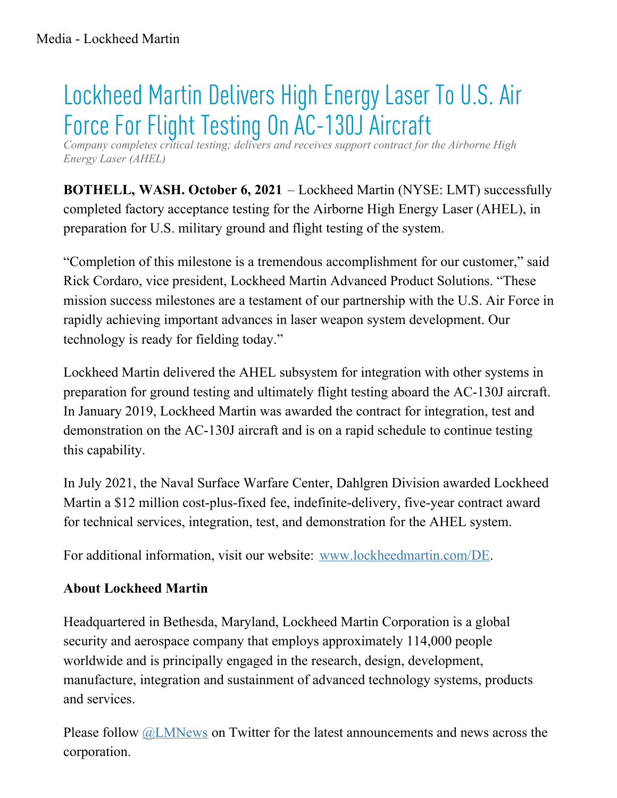## Lockheed Martin Delivers High Energy Laser To U.S. Air Force For Flight Testing On AC-130J Aircraft

*Company completes critical testing; delivers and receives support contract for the Airborne High Energy Laser (AHEL)*

**BOTHELL, WASH. October 6, 2021** – Lockheed Martin (NYSE: LMT) successfully completed factory acceptance testing for the Airborne High Energy Laser (AHEL), in preparation for U.S. military ground and flight testing of the system.

"Completion of this milestone is a tremendous accomplishment for our customer," said Rick Cordaro, vice president, Lockheed Martin Advanced Product Solutions. "These mission success milestones are a testament of our partnership with the U.S. Air Force in rapidly achieving important advances in laser weapon system development. Our technology is ready for fielding today."

Lockheed Martin delivered the AHEL subsystem for integration with other systems in preparation for ground testing and ultimately flight testing aboard the AC-130J aircraft. In January 2019, Lockheed Martin was awarded the contract for integration, test and demonstration on the AC-130J aircraft and is on a rapid schedule to continue testing this capability.

In July 2021, the Naval Surface Warfare Center, Dahlgren Division awarded Lockheed Martin a \$12 million cost-plus-fixed fee, indefinite-delivery, five-year contract award for technical services, integration, test, and demonstration for the AHEL system.

For additional information, visit our website: [www.lockheedmartin.com/DE](http://www.lockheedmartin.com/DE).

## **About Lockheed Martin**

Headquartered in Bethesda, Maryland, Lockheed Martin Corporation is a global security and aerospace company that employs approximately 114,000 people worldwide and is principally engaged in the research, design, development, manufacture, integration and sustainment of advanced technology systems, products and services.

Please follow [@LMNews](https://twitter.com/lmnews) on Twitter for the latest announcements and news across the corporation.